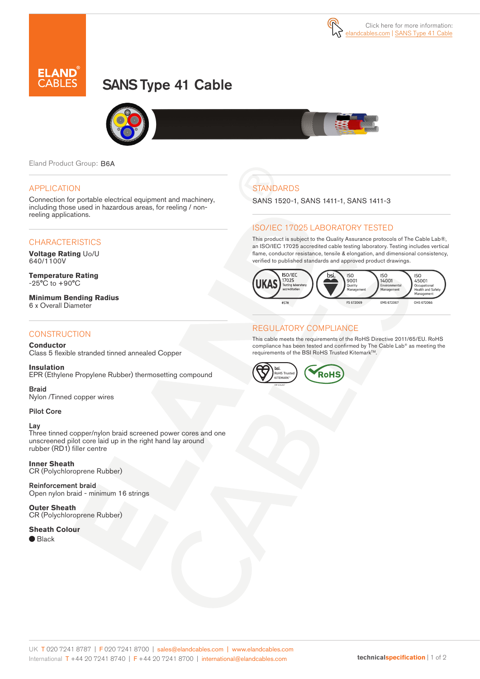

# SANS Type 41 Cable



Eland Product Group: B6A

#### APPLICATION

Connection for portable electrical equipment and machinery, including those used in hazardous areas, for reeling / nonreeling applications.

#### **CHARACTERISTICS**

**Voltage Rating** Uo/U 640/1100V

**Temperature Rating** -25°C to +90°C

**Minimum Bending Radius** 6 x Overall Diameter

#### **CONSTRUCTION**

#### **Conductor**

Class 5 flexible stranded tinned annealed Copper

**Insulation** EPR (Ethylene Propylene Rubber) thermosetting compound

Braid Nylon /Tinned copper wires

#### Pilot Core

#### Lay

Three tinned copper/nylon braid screened power cores and one unscreened pilot core laid up in the right hand lay around rubber (RD1) filler centre

**Inner Sheath**

CR (Polychloroprene Rubber)

Reinforcement braid Open nylon braid - minimum 16 strings

**Outer Sheath** CR (Polychloroprene Rubber)

#### **Sheath Colour**

● Black

# **STANDARDS**

SANS 1520-1, SANS 1411-1, SANS 1411-3

### ISO/IEC 17025 LABORATORY TESTED

This product is subject to the Quality Assurance protocols of The Cable Lab®, an ISO/IEC 17025 accredited cable testing laboratory. Testing includes vertical flame, conductor resistance, tensile & elongation, and dimensional consistency, verified to published standards and approved product drawings.



#### REGULATORY COMPLIANCE

This cable meets the requirements of the RoHS Directive 2011/65/EU. RoHS compliance has been tested and confirmed by The Cable Lab® as meeting the requirements of the BSI RoHS Trusted Kitemark™.